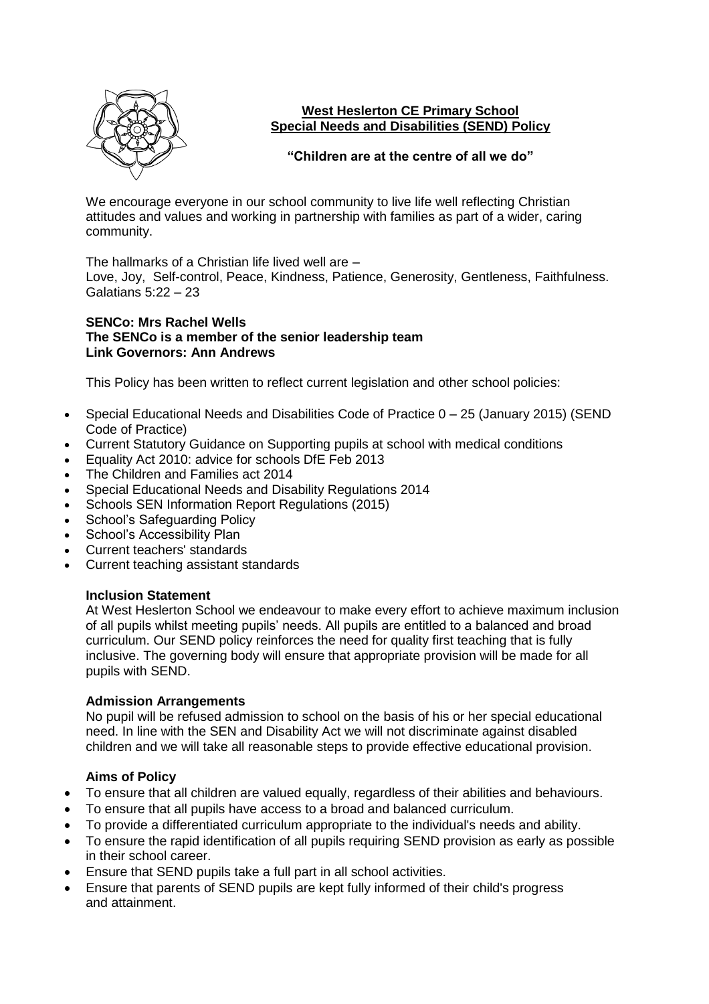

# **West Heslerton CE Primary School Special Needs and Disabilities (SEND) Policy**

## **"Children are at the centre of all we do"**

We encourage everyone in our school community to live life well reflecting Christian attitudes and values and working in partnership with families as part of a wider, caring community.

The hallmarks of a Christian life lived well are – Love, Joy, Self-control, Peace, Kindness, Patience, Generosity, Gentleness, Faithfulness. Galatians 5:22 – 23

#### **SENCo: Mrs Rachel Wells The SENCo is a member of the senior leadership team Link Governors: Ann Andrews**

This Policy has been written to reflect current legislation and other school policies:

- Special Educational Needs and Disabilities Code of Practice 0 25 (January 2015) (SEND Code of Practice)
- Current Statutory Guidance on Supporting pupils at school with medical conditions
- Equality Act 2010: advice for schools DfE Feb 2013
- The Children and Families act 2014
- Special Educational Needs and Disability Regulations 2014
- Schools SEN Information Report Regulations (2015)
- School's Safeguarding Policy
- School's Accessibility Plan
- Current teachers' standards
- Current teaching assistant standards

# **Inclusion Statement**

At West Heslerton School we endeavour to make every effort to achieve maximum inclusion of all pupils whilst meeting pupils' needs. All pupils are entitled to a balanced and broad curriculum. Our SEND policy reinforces the need for quality first teaching that is fully inclusive. The governing body will ensure that appropriate provision will be made for all pupils with SEND.

### **Admission Arrangements**

No pupil will be refused admission to school on the basis of his or her special educational need. In line with the SEN and Disability Act we will not discriminate against disabled children and we will take all reasonable steps to provide effective educational provision.

# **Aims of Policy**

- To ensure that all children are valued equally, regardless of their abilities and behaviours.
- To ensure that all pupils have access to a broad and balanced curriculum.
- To provide a differentiated curriculum appropriate to the individual's needs and ability.
- To ensure the rapid identification of all pupils requiring SEND provision as early as possible in their school career.
- Ensure that SEND pupils take a full part in all school activities.
- Ensure that parents of SEND pupils are kept fully informed of their child's progress and attainment.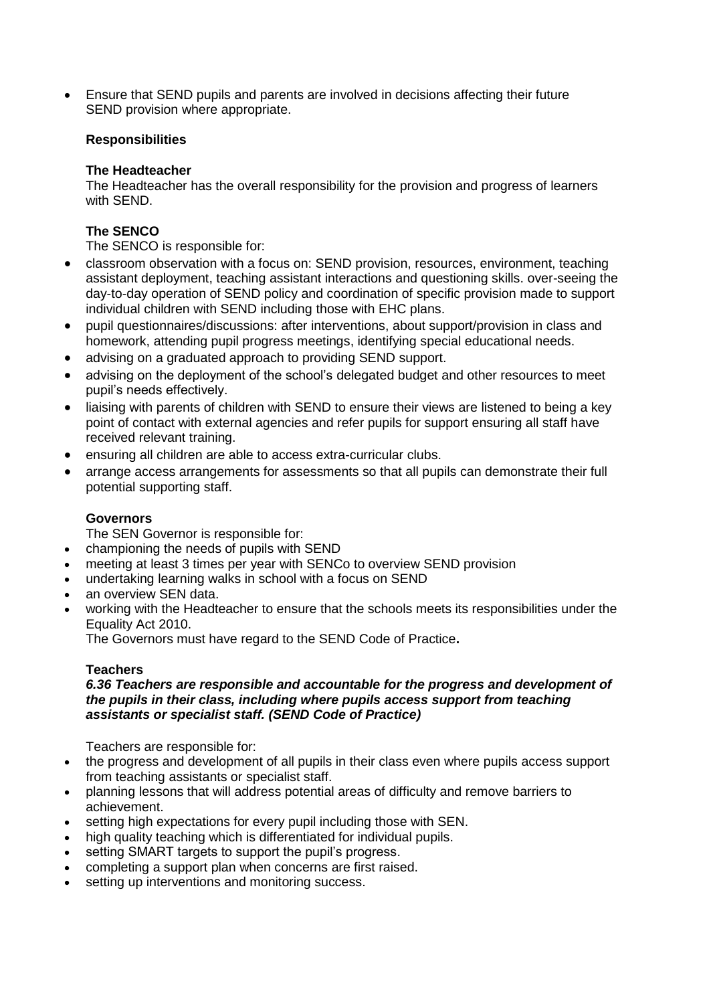• Ensure that SEND pupils and parents are involved in decisions affecting their future SEND provision where appropriate.

## **Responsibilities**

## **The Headteacher**

The Headteacher has the overall responsibility for the provision and progress of learners with SEND.

# **The SENCO**

The SENCO is responsible for:

- classroom observation with a focus on: SEND provision, resources, environment, teaching assistant deployment, teaching assistant interactions and questioning skills. over-seeing the day-to-day operation of SEND policy and coordination of specific provision made to support individual children with SEND including those with EHC plans.
- pupil questionnaires/discussions: after interventions, about support/provision in class and homework, attending pupil progress meetings, identifying special educational needs.
- advising on a graduated approach to providing SEND support.
- advising on the deployment of the school's delegated budget and other resources to meet pupil's needs effectively.
- liaising with parents of children with SEND to ensure their views are listened to being a key point of contact with external agencies and refer pupils for support ensuring all staff have received relevant training.
- ensuring all children are able to access extra-curricular clubs.
- arrange access arrangements for assessments so that all pupils can demonstrate their full potential supporting staff.

# **Governors**

The SEN Governor is responsible for:

- championing the needs of pupils with SEND
- meeting at least 3 times per year with SENCo to overview SEND provision
- undertaking learning walks in school with a focus on SEND
- an overview SEN data.
- working with the Headteacher to ensure that the schools meets its responsibilities under the Equality Act 2010.

The Governors must have regard to the SEND Code of Practice**.**

### **Teachers**

#### *6.36 Teachers are responsible and accountable for the progress and development of the pupils in their class, including where pupils access support from teaching assistants or specialist staff. (SEND Code of Practice)*

Teachers are responsible for:

- the progress and development of all pupils in their class even where pupils access support from teaching assistants or specialist staff.
- planning lessons that will address potential areas of difficulty and remove barriers to achievement.
- setting high expectations for every pupil including those with SEN.
- high quality teaching which is differentiated for individual pupils.
- setting SMART targets to support the pupil's progress.
- completing a support plan when concerns are first raised.
- setting up interventions and monitoring success.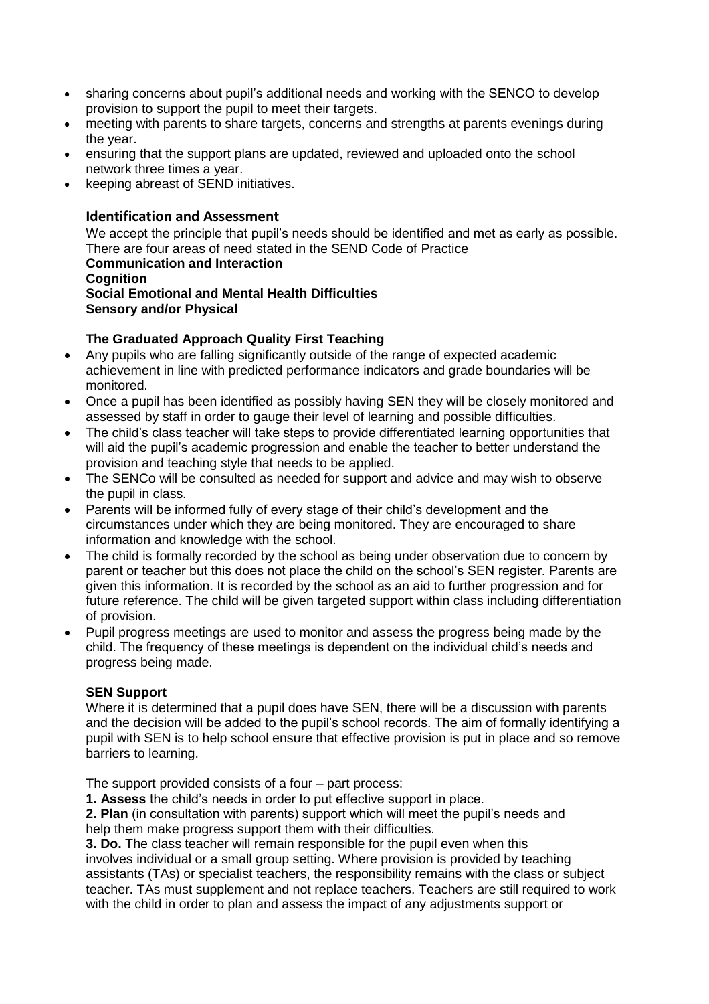- sharing concerns about pupil's additional needs and working with the SENCO to develop provision to support the pupil to meet their targets.
- meeting with parents to share targets, concerns and strengths at parents evenings during the year.
- ensuring that the support plans are updated, reviewed and uploaded onto the school network three times a year.
- keeping abreast of SEND initiatives.

# **Identification and Assessment**

We accept the principle that pupil's needs should be identified and met as early as possible. There are four areas of need stated in the SEND Code of Practice **Communication and Interaction Cognition Social Emotional and Mental Health Difficulties Sensory and/or Physical** 

## **The Graduated Approach Quality First Teaching**

- Any pupils who are falling significantly outside of the range of expected academic achievement in line with predicted performance indicators and grade boundaries will be monitored.
- Once a pupil has been identified as possibly having SEN they will be closely monitored and assessed by staff in order to gauge their level of learning and possible difficulties.
- The child's class teacher will take steps to provide differentiated learning opportunities that will aid the pupil's academic progression and enable the teacher to better understand the provision and teaching style that needs to be applied.
- The SENCo will be consulted as needed for support and advice and may wish to observe the pupil in class.
- Parents will be informed fully of every stage of their child's development and the circumstances under which they are being monitored. They are encouraged to share information and knowledge with the school.
- The child is formally recorded by the school as being under observation due to concern by parent or teacher but this does not place the child on the school's SEN register. Parents are given this information. It is recorded by the school as an aid to further progression and for future reference. The child will be given targeted support within class including differentiation of provision.
- Pupil progress meetings are used to monitor and assess the progress being made by the child. The frequency of these meetings is dependent on the individual child's needs and progress being made.

### **SEN Support**

Where it is determined that a pupil does have SEN, there will be a discussion with parents and the decision will be added to the pupil's school records. The aim of formally identifying a pupil with SEN is to help school ensure that effective provision is put in place and so remove barriers to learning.

The support provided consists of a four – part process:

**1. Assess** the child's needs in order to put effective support in place.

**2. Plan** (in consultation with parents) support which will meet the pupil's needs and help them make progress support them with their difficulties.

**3. Do.** The class teacher will remain responsible for the pupil even when this involves individual or a small group setting. Where provision is provided by teaching assistants (TAs) or specialist teachers, the responsibility remains with the class or subject teacher. TAs must supplement and not replace teachers. Teachers are still required to work with the child in order to plan and assess the impact of any adjustments support or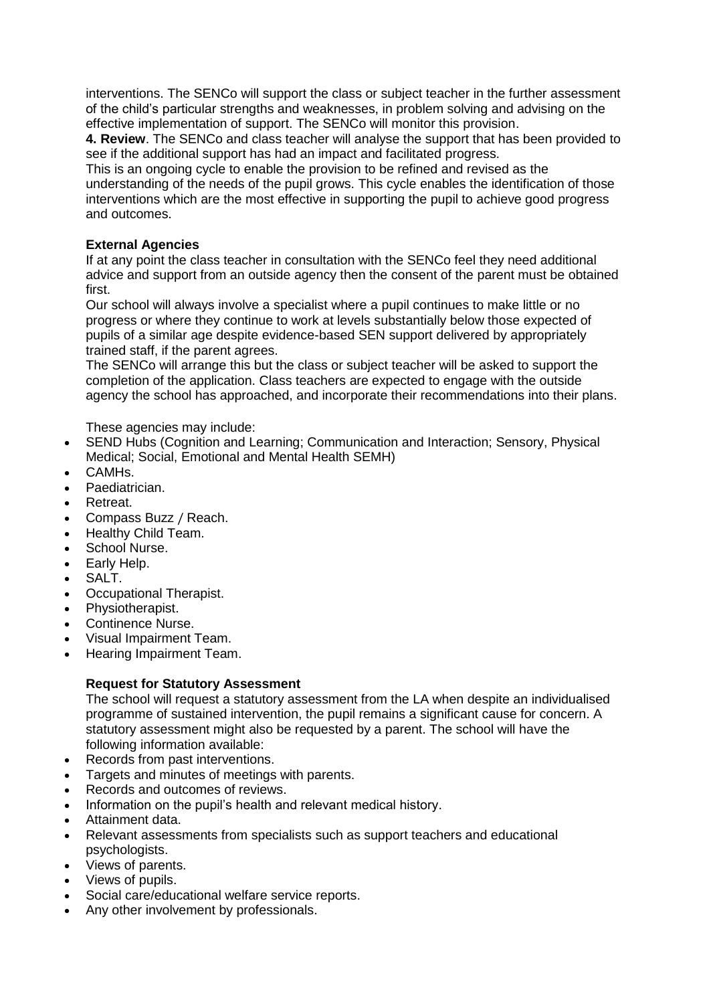interventions. The SENCo will support the class or subject teacher in the further assessment of the child's particular strengths and weaknesses, in problem solving and advising on the effective implementation of support. The SENCo will monitor this provision.

**4. Review**. The SENCo and class teacher will analyse the support that has been provided to see if the additional support has had an impact and facilitated progress.

This is an ongoing cycle to enable the provision to be refined and revised as the understanding of the needs of the pupil grows. This cycle enables the identification of those interventions which are the most effective in supporting the pupil to achieve good progress and outcomes.

## **External Agencies**

If at any point the class teacher in consultation with the SENCo feel they need additional advice and support from an outside agency then the consent of the parent must be obtained first.

Our school will always involve a specialist where a pupil continues to make little or no progress or where they continue to work at levels substantially below those expected of pupils of a similar age despite evidence-based SEN support delivered by appropriately trained staff, if the parent agrees.

The SENCo will arrange this but the class or subject teacher will be asked to support the completion of the application. Class teachers are expected to engage with the outside agency the school has approached, and incorporate their recommendations into their plans.

These agencies may include:

- SEND Hubs (Cognition and Learning; Communication and Interaction; Sensory, Physical Medical; Social, Emotional and Mental Health SEMH)
- CAMHs.
- Paediatrician.
- Retreat.
- Compass Buzz / Reach.
- Healthy Child Team.
- School Nurse.
- Early Help.
- SALT.
- Occupational Therapist.
- Physiotherapist.
- Continence Nurse.
- Visual Impairment Team.
- Hearing Impairment Team.

# **Request for Statutory Assessment**

The school will request a statutory assessment from the LA when despite an individualised programme of sustained intervention, the pupil remains a significant cause for concern. A statutory assessment might also be requested by a parent. The school will have the following information available:

- Records from past interventions.
- Targets and minutes of meetings with parents.
- Records and outcomes of reviews.
- Information on the pupil's health and relevant medical history.
- Attainment data.
- Relevant assessments from specialists such as support teachers and educational psychologists.
- Views of parents.
- Views of pupils.
- Social care/educational welfare service reports.
- Any other involvement by professionals.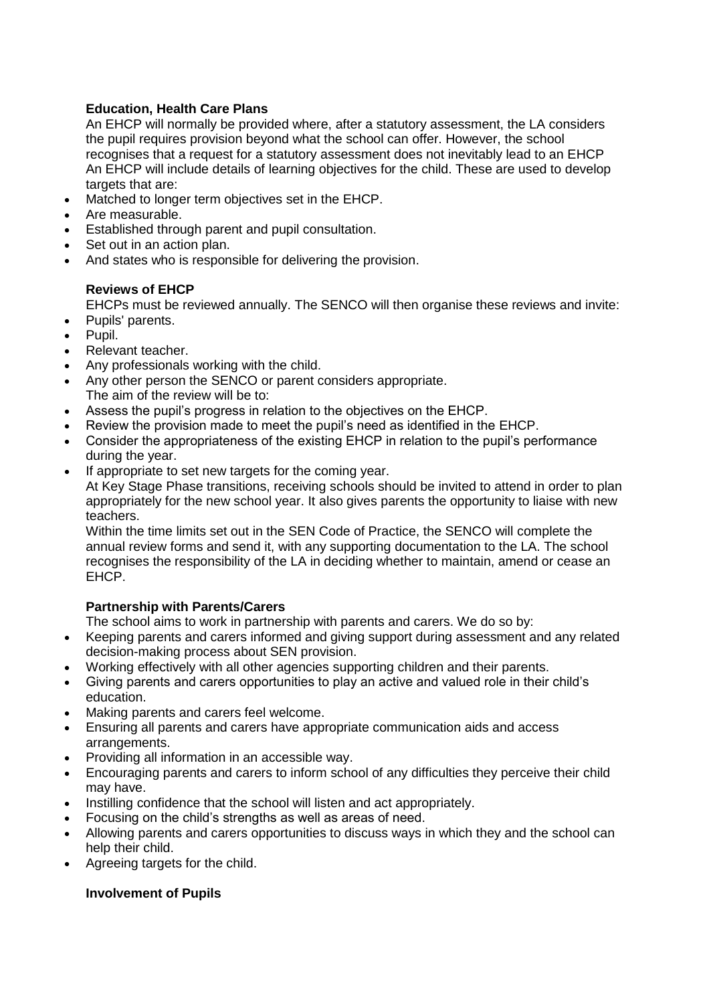# **Education, Health Care Plans**

An EHCP will normally be provided where, after a statutory assessment, the LA considers the pupil requires provision beyond what the school can offer. However, the school recognises that a request for a statutory assessment does not inevitably lead to an EHCP An EHCP will include details of learning objectives for the child. These are used to develop targets that are:

- Matched to longer term objectives set in the EHCP.
- Are measurable.
- Established through parent and pupil consultation.
- Set out in an action plan.
- And states who is responsible for delivering the provision.

## **Reviews of EHCP**

EHCPs must be reviewed annually. The SENCO will then organise these reviews and invite:

- Pupils' parents.
- Pupil.
- Relevant teacher.
- Any professionals working with the child.
- Any other person the SENCO or parent considers appropriate. The aim of the review will be to:
- Assess the pupil's progress in relation to the objectives on the EHCP.
- Review the provision made to meet the pupil's need as identified in the EHCP.
- Consider the appropriateness of the existing EHCP in relation to the pupil's performance during the year.
- If appropriate to set new targets for the coming year.

At Key Stage Phase transitions, receiving schools should be invited to attend in order to plan appropriately for the new school year. It also gives parents the opportunity to liaise with new teachers.

Within the time limits set out in the SEN Code of Practice, the SENCO will complete the annual review forms and send it, with any supporting documentation to the LA. The school recognises the responsibility of the LA in deciding whether to maintain, amend or cease an EHCP.

# **Partnership with Parents/Carers**

The school aims to work in partnership with parents and carers. We do so by:

- Keeping parents and carers informed and giving support during assessment and any related decision-making process about SEN provision.
- Working effectively with all other agencies supporting children and their parents.
- Giving parents and carers opportunities to play an active and valued role in their child's education.
- Making parents and carers feel welcome.
- Ensuring all parents and carers have appropriate communication aids and access arrangements.
- Providing all information in an accessible way.
- Encouraging parents and carers to inform school of any difficulties they perceive their child may have.
- Instilling confidence that the school will listen and act appropriately.
- Focusing on the child's strengths as well as areas of need.
- Allowing parents and carers opportunities to discuss ways in which they and the school can help their child.
- Agreeing targets for the child.

### **Involvement of Pupils**